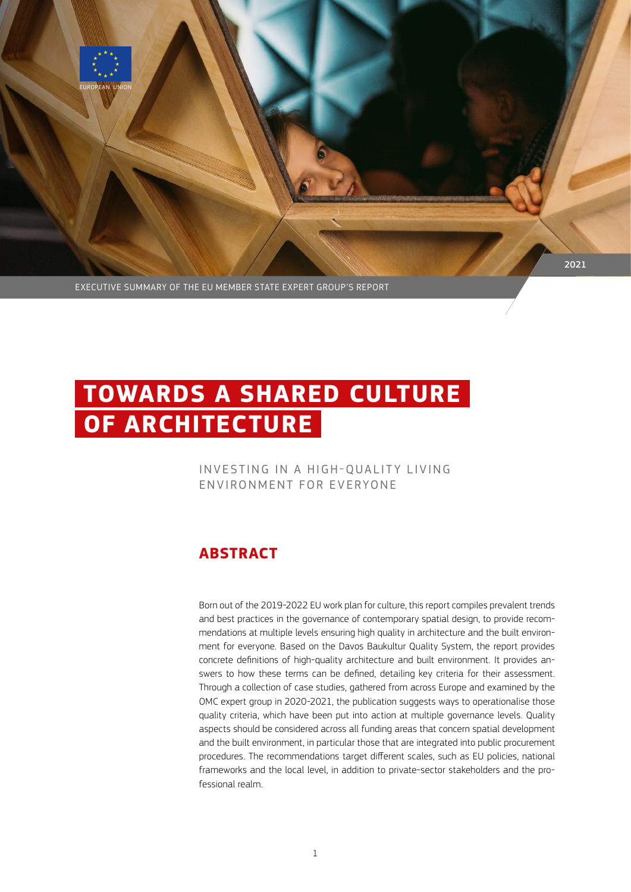

EXECUTIVE SUMMARY OF THE EU MEMBER STATE EXPERT GROUP'S REPORT

# **TOWARDS A SHARED CULTURE OF ARCHITECTURE**

## INVESTING IN A HIGH-QUALITY LIVING ENVIRONMENT FOR EVERYONE

# **ABSTRACT**

Born out of the 2019-2022 EU work plan for culture, this report compiles prevalent trends and best practices in the governance of contemporary spatial design, to provide recommendations at multiple levels ensuring high quality in architecture and the built environment for everyone. Based on the Davos Baukultur Quality System, the report provides concrete definitions of high-quality architecture and built environment. It provides answers to how these terms can be defined, detailing key criteria for their assessment. Through a collection of case studies, gathered from across Europe and examined by the OMC expert group in 2020-2021, the publication suggests ways to operationalise those quality criteria, which have been put into action at multiple governance levels. Quality aspects should be considered across all funding areas that concern spatial development and the built environment, in particular those that are integrated into public procurement procedures. The recommendations target different scales, such as EU policies, national frameworks and the local level, in addition to private-sector stakeholders and the professional realm.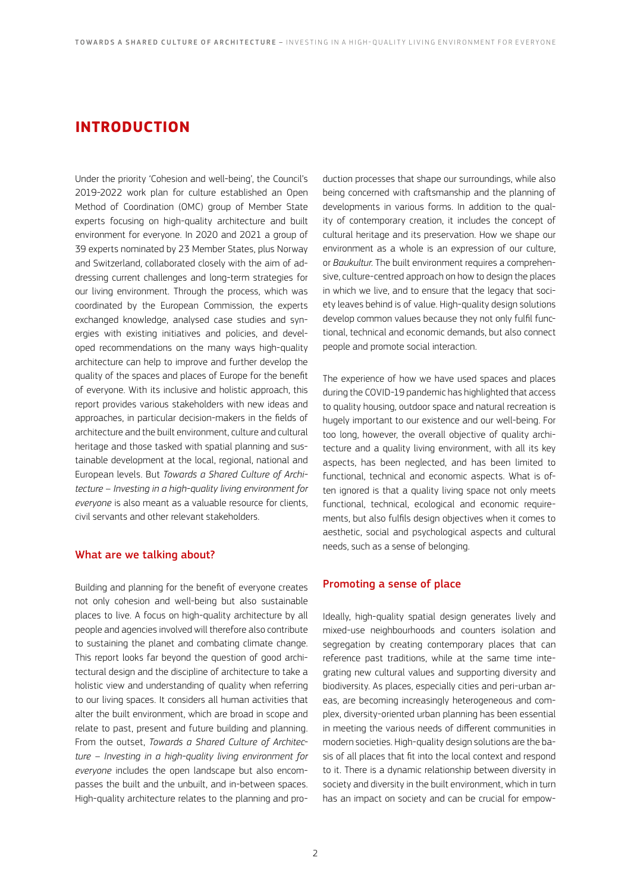# **INTRODUCTION**

Under the priority 'Cohesion and well-being', the Council's 2019-2022 work plan for culture established an Open Method of Coordination (OMC) group of Member State experts focusing on high-quality architecture and built environment for everyone. In 2020 and 2021 a group of 39 experts nominated by 23 Member States, plus Norway and Switzerland, collaborated closely with the aim of addressing current challenges and long-term strategies for our living environment. Through the process, which was coordinated by the European Commission, the experts exchanged knowledge, analysed case studies and synergies with existing initiatives and policies, and developed recommendations on the many ways high-quality architecture can help to improve and further develop the quality of the spaces and places of Europe for the benefit of everyone. With its inclusive and holistic approach, this report provides various stakeholders with new ideas and approaches, in particular decision-makers in the fields of architecture and the built environment, culture and cultural heritage and those tasked with spatial planning and sustainable development at the local, regional, national and European levels. But *Towards a Shared Culture of Architecture – Investing in a high-quality living environment for everyone* is also meant as a valuable resource for clients, civil servants and other relevant stakeholders.

#### What are we talking about?

Building and planning for the benefit of everyone creates not only cohesion and well-being but also sustainable places to live. A focus on high-quality architecture by all people and agencies involved will therefore also contribute to sustaining the planet and combating climate change. This report looks far beyond the question of good architectural design and the discipline of architecture to take a holistic view and understanding of quality when referring to our living spaces. It considers all human activities that alter the built environment, which are broad in scope and relate to past, present and future building and planning. From the outset, *Towards a Shared Culture of Architecture – Investing in a high-quality living environment for everyone* includes the open landscape but also encompasses the built and the unbuilt, and in-between spaces. High-quality architecture relates to the planning and production processes that shape our surroundings, while also being concerned with craftsmanship and the planning of developments in various forms. In addition to the quality of contemporary creation, it includes the concept of cultural heritage and its preservation. How we shape our environment as a whole is an expression of our culture, or *Baukultur*. The built environment requires a comprehensive, culture-centred approach on how to design the places in which we live, and to ensure that the legacy that society leaves behind is of value. High-quality design solutions develop common values because they not only fulfil functional, technical and economic demands, but also connect people and promote social interaction.

The experience of how we have used spaces and places during the COVID-19 pandemic has highlighted that access to quality housing, outdoor space and natural recreation is hugely important to our existence and our well-being. For too long, however, the overall objective of quality architecture and a quality living environment, with all its key aspects, has been neglected, and has been limited to functional, technical and economic aspects. What is often ignored is that a quality living space not only meets functional, technical, ecological and economic requirements, but also fulfils design objectives when it comes to aesthetic, social and psychological aspects and cultural needs, such as a sense of belonging.

#### Promoting a sense of place

Ideally, high-quality spatial design generates lively and mixed-use neighbourhoods and counters isolation and segregation by creating contemporary places that can reference past traditions, while at the same time integrating new cultural values and supporting diversity and biodiversity. As places, especially cities and peri-urban areas, are becoming increasingly heterogeneous and complex, diversity-oriented urban planning has been essential in meeting the various needs of different communities in modern societies. High-quality design solutions are the basis of all places that fit into the local context and respond to it. There is a dynamic relationship between diversity in society and diversity in the built environment, which in turn has an impact on society and can be crucial for empow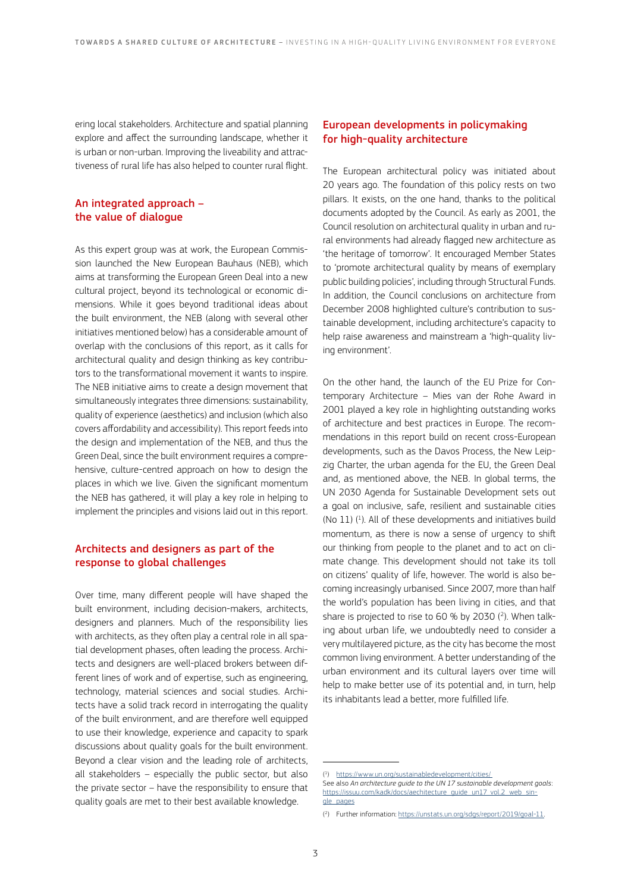ering local stakeholders. Architecture and spatial planning explore and affect the surrounding landscape, whether it is urban or non-urban. Improving the liveability and attractiveness of rural life has also helped to counter rural flight.

## An integrated approach – the value of dialogue

As this expert group was at work, the European Commission launched the New European Bauhaus (NEB), which aims at transforming the European Green Deal into a new cultural project, beyond its technological or economic dimensions. While it goes beyond traditional ideas about the built environment, the NEB (along with several other initiatives mentioned below) has a considerable amount of overlap with the conclusions of this report, as it calls for architectural quality and design thinking as key contributors to the transformational movement it wants to inspire. The NEB initiative aims to create a design movement that simultaneously integrates three dimensions: sustainability, quality of experience (aesthetics) and inclusion (which also covers affordability and accessibility). This report feeds into the design and implementation of the NEB, and thus the Green Deal, since the built environment requires a comprehensive, culture-centred approach on how to design the places in which we live. Given the significant momentum the NEB has gathered, it will play a key role in helping to implement the principles and visions laid out in this report.

## Architects and designers as part of the response to global challenges

Over time, many different people will have shaped the built environment, including decision-makers, architects, designers and planners. Much of the responsibility lies with architects, as they often play a central role in all spatial development phases, often leading the process. Architects and designers are well-placed brokers between different lines of work and of expertise, such as engineering, technology, material sciences and social studies. Architects have a solid track record in interrogating the quality of the built environment, and are therefore well equipped to use their knowledge, experience and capacity to spark discussions about quality goals for the built environment. Beyond a clear vision and the leading role of architects, all stakeholders – especially the public sector, but also the private sector – have the responsibility to ensure that quality goals are met to their best available knowledge.

## European developments in policymaking for high-quality architecture

The European architectural policy was initiated about 20 years ago. The foundation of this policy rests on two pillars. It exists, on the one hand, thanks to the political documents adopted by the Council. As early as 2001, the Council resolution on architectural quality in urban and rural environments had already flagged new architecture as 'the heritage of tomorrow'. It encouraged Member States to 'promote architectural quality by means of exemplary public building policies', including through Structural Funds. In addition, the Council conclusions on architecture from December 2008 highlighted culture's contribution to sustainable development, including architecture's capacity to help raise awareness and mainstream a 'high-quality living environment'.

On the other hand, the launch of the EU Prize for Contemporary Architecture – Mies van der Rohe Award in 2001 played a key role in highlighting outstanding works of architecture and best practices in Europe. The recommendations in this report build on recent cross-European developments, such as the Davos Process, the New Leipzig Charter, the urban agenda for the EU, the Green Deal and, as mentioned above, the NEB. In global terms, the UN 2030 Agenda for Sustainable Development sets out a goal on inclusive, safe, resilient and sustainable cities (No 11) ( 1 ). All of these developments and initiatives build momentum, as there is now a sense of urgency to shift our thinking from people to the planet and to act on climate change. This development should not take its toll on citizens' quality of life, however. The world is also becoming increasingly urbanised. Since 2007, more than half the world's population has been living in cities, and that share is projected to rise to 60 % by 2030 ( 2 ). When talking about urban life, we undoubtedly need to consider a very multilayered picture, as the city has become the most common living environment. A better understanding of the urban environment and its cultural layers over time will help to make better use of its potential and, in turn, help its inhabitants lead a better, more fulfilled life.

<sup>(1)</sup> <https://www.un.org/sustainabledevelopment/cities/>

See also *An architecture guide to the UN 17 sustainable development goals*: [https://issuu.com/kadk/docs/aechitecture\\_guide\\_un17\\_vol.2\\_web\\_sin](https://issuu.com/kadk/docs/aechitecture_guide_un17_vol.2_web_single_pages)[gle\\_pages](https://issuu.com/kadk/docs/aechitecture_guide_un17_vol.2_web_single_pages)

<sup>(&</sup>lt;sup>2</sup>) Further information: [https://unstats.un.org/sdgs/report/2019/goal-11](https://unstats.un.org/sdgs/report/2019/goal-11/)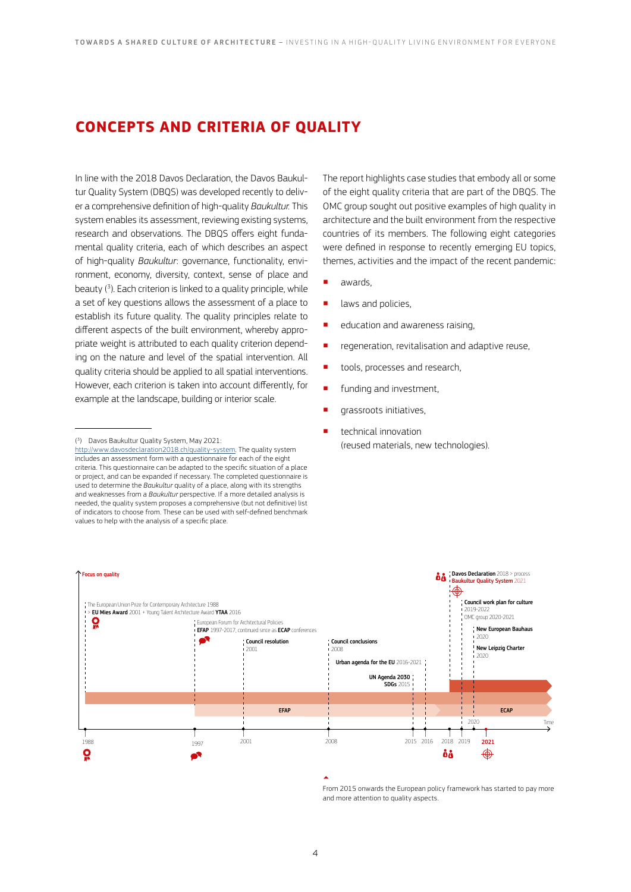# **CONCEPTS AND CRITERIA OF QUALITY**

In line with the 2018 Davos Declaration, the Davos Baukultur Quality System (DBQS) was developed recently to deliver a comprehensive definition of high-quality *Baukultur.* This system enables its assessment, reviewing existing systems, research and observations. The DBQS offers eight fundamental quality criteria, each of which describes an aspect of high-quality *Baukultur*: governance, functionality, environment, economy, diversity, context, sense of place and beauty ( 3 ). Each criterion is linked to a quality principle, while a set of key questions allows the assessment of a place to establish its future quality. The quality principles relate to different aspects of the built environment, whereby appropriate weight is attributed to each quality criterion depending on the nature and level of the spatial intervention. All quality criteria should be applied to all spatial interventions. However, each criterion is taken into account differently, for example at the landscape, building or interior scale.

( 3 ) Davos Baukultur Quality System, May 2021:

The report highlights case studies that embody all or some of the eight quality criteria that are part of the DBQS. The OMC group sought out positive examples of high quality in architecture and the built environment from the respective countries of its members. The following eight categories were defined in response to recently emerging EU topics, themes, activities and the impact of the recent pandemic:

- awards,
- **u** laws and policies,
- education and awareness raising,
- **•** regeneration, revitalisation and adaptive reuse,
- tools, processes and research,
- **•** funding and investment,
- **qrassroots initiatives,**
- **•** technical innovation (reused materials, new technologies).



From 2015 onwards the European policy framework has started to pay more and more attention to quality aspects.

<http://www.davosdeclaration2018.ch/quality-system>. The quality system includes an assessment form with a questionnaire for each of the eight criteria. This questionnaire can be adapted to the specific situation of a place or project, and can be expanded if necessary. The completed questionnaire is used to determine the *Baukultur* quality of a place, along with its strengths and weaknesses from a *Baukultur* perspective. If a more detailed analysis is needed, the quality system proposes a comprehensive (but not definitive) list of indicators to choose from. These can be used with self-defined benchmark values to help with the analysis of a specific place.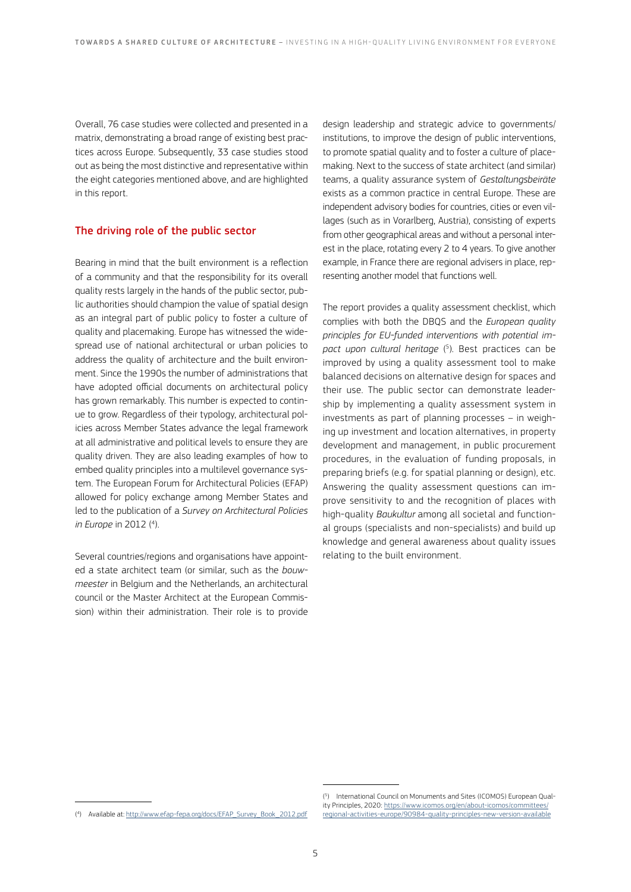Overall, 76 case studies were collected and presented in a matrix, demonstrating a broad range of existing best practices across Europe. Subsequently, 33 case studies stood out as being the most distinctive and representative within the eight categories mentioned above, and are highlighted in this report.

#### The driving role of the public sector

Bearing in mind that the built environment is a reflection of a community and that the responsibility for its overall quality rests largely in the hands of the public sector, public authorities should champion the value of spatial design as an integral part of public policy to foster a culture of quality and placemaking. Europe has witnessed the widespread use of national architectural or urban policies to address the quality of architecture and the built environment. Since the 1990s the number of administrations that have adopted official documents on architectural policy has grown remarkably. This number is expected to continue to grow. Regardless of their typology, architectural policies across Member States advance the legal framework at all administrative and political levels to ensure they are quality driven. They are also leading examples of how to embed quality principles into a multilevel governance system. The European Forum for Architectural Policies (EFAP) allowed for policy exchange among Member States and led to the publication of a *Survey on Architectural Policies in Europe* in 2012 ( 4 ).

Several countries/regions and organisations have appointed a state architect team (or similar, such as the *bouwmeester* in Belgium and the Netherlands, an architectural council or the Master Architect at the European Commission) within their administration. Their role is to provide

design leadership and strategic advice to governments/ institutions, to improve the design of public interventions, to promote spatial quality and to foster a culture of placemaking. Next to the success of state architect (and similar) teams, a quality assurance system of *Gestaltungsbeiräte* exists as a common practice in central Europe. These are independent advisory bodies for countries, cities or even villages (such as in Vorarlberg, Austria), consisting of experts from other geographical areas and without a personal interest in the place, rotating every 2 to 4 years. To give another example, in France there are regional advisers in place, representing another model that functions well.

The report provides a quality assessment checklist, which complies with both the DBQS and the *European quality principles for EU-funded interventions with potential impact upon cultural heritage* ( 5 ). Best practices can be improved by using a quality assessment tool to make balanced decisions on alternative design for spaces and their use. The public sector can demonstrate leadership by implementing a quality assessment system in investments as part of planning processes – in weighing up investment and location alternatives, in property development and management, in public procurement procedures, in the evaluation of funding proposals, in preparing briefs (e.g. for spatial planning or design), etc. Answering the quality assessment questions can improve sensitivity to and the recognition of places with high-quality *Baukultur* among all societal and functional groups (specialists and non-specialists) and build up knowledge and general awareness about quality issues relating to the built environment.

<sup>(4)</sup> Available at: [http://www.efap-fepa.org/docs/EFAP\\_Survey\\_Book\\_2012.pdf](http://www.efap-fepa.org/docs/EFAP_Survey_Book_2012.pdf)

<sup>(</sup> 5 ) International Council on Monuments and Sites (ICOMOS) European Quality Principles, 2020: [https://www.icomos.org/en/about-icomos/committees/](https://www.icomos.org/en/about-icomos/committees/regional-activities-europe/90984-quality-principles-new-version-available) [regional-activities-europe/90984-quality-principles-new-version-available](https://www.icomos.org/en/about-icomos/committees/regional-activities-europe/90984-quality-principles-new-version-available)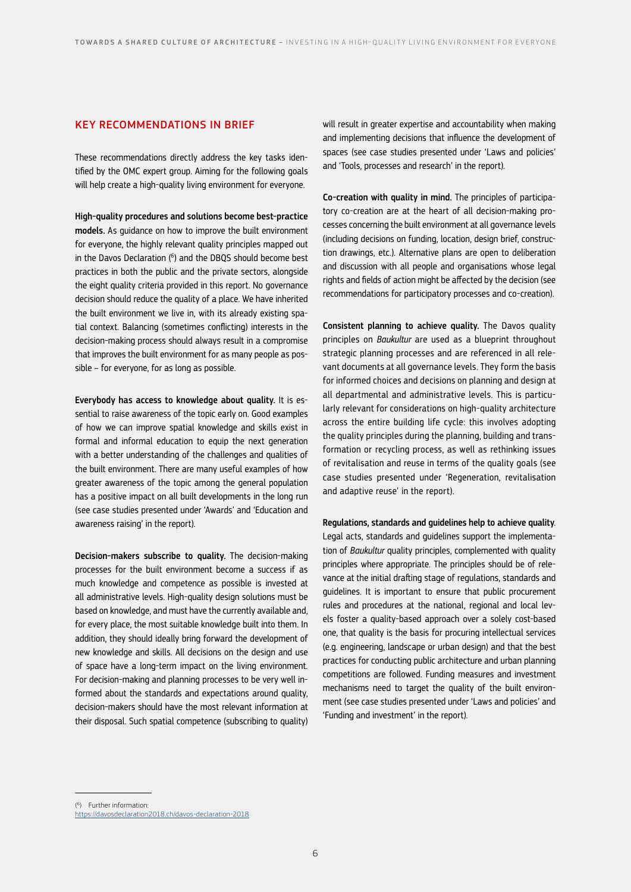#### KEY RECOMMENDATIONS IN BRIEF

These recommendations directly address the key tasks identified by the OMC expert group. Aiming for the following goals will help create a high-quality living environment for everyone.

High-quality procedures and solutions become best-practice models. As guidance on how to improve the built environment for everyone, the highly relevant quality principles mapped out in the Davos Declaration ( 6 ) and the DBQS should become best practices in both the public and the private sectors, alongside the eight quality criteria provided in this report. No governance decision should reduce the quality of a place. We have inherited the built environment we live in, with its already existing spatial context. Balancing (sometimes conflicting) interests in the decision-making process should always result in a compromise that improves the built environment for as many people as possible – for everyone, for as long as possible.

Everybody has access to knowledge about quality. It is essential to raise awareness of the topic early on. Good examples of how we can improve spatial knowledge and skills exist in formal and informal education to equip the next generation with a better understanding of the challenges and qualities of the built environment. There are many useful examples of how greater awareness of the topic among the general population has a positive impact on all built developments in the long run (see case studies presented under 'Awards' and 'Education and awareness raising' in the report).

Decision-makers subscribe to quality. The decision-making processes for the built environment become a success if as much knowledge and competence as possible is invested at all administrative levels. High-quality design solutions must be based on knowledge, and must have the currently available and, for every place, the most suitable knowledge built into them. In addition, they should ideally bring forward the development of new knowledge and skills. All decisions on the design and use of space have a long-term impact on the living environment. For decision-making and planning processes to be very well informed about the standards and expectations around quality, decision-makers should have the most relevant information at their disposal. Such spatial competence (subscribing to quality)

will result in greater expertise and accountability when making and implementing decisions that influence the development of spaces (see case studies presented under 'Laws and policies' and 'Tools, processes and research' in the report).

Co-creation with quality in mind. The principles of participatory co-creation are at the heart of all decision-making processes concerning the built environment at all governance levels (including decisions on funding, location, design brief, construction drawings, etc.). Alternative plans are open to deliberation and discussion with all people and organisations whose legal rights and fields of action might be affected by the decision (see recommendations for participatory processes and co-creation).

Consistent planning to achieve quality. The Davos quality principles on *Baukultur* are used as a blueprint throughout strategic planning processes and are referenced in all relevant documents at all governance levels. They form the basis for informed choices and decisions on planning and design at all departmental and administrative levels. This is particularly relevant for considerations on high-quality architecture across the entire building life cycle: this involves adopting the quality principles during the planning, building and transformation or recycling process, as well as rethinking issues of revitalisation and reuse in terms of the quality goals (see case studies presented under 'Regeneration, revitalisation and adaptive reuse' in the report).

Regulations, standards and guidelines help to achieve quality. Legal acts, standards and guidelines support the implementation of *Baukultur* quality principles, complemented with quality principles where appropriate. The principles should be of relevance at the initial drafting stage of regulations, standards and guidelines. It is important to ensure that public procurement rules and procedures at the national, regional and local levels foster a quality-based approach over a solely cost-based one, that quality is the basis for procuring intellectual services (e.g. engineering, landscape or urban design) and that the best practices for conducting public architecture and urban planning competitions are followed. Funding measures and investment mechanisms need to target the quality of the built environment (see case studies presented under 'Laws and policies' and 'Funding and investment' in the report).

( 6 ) Further information:

<https://davosdeclaration2018.ch/davos-declaration-2018>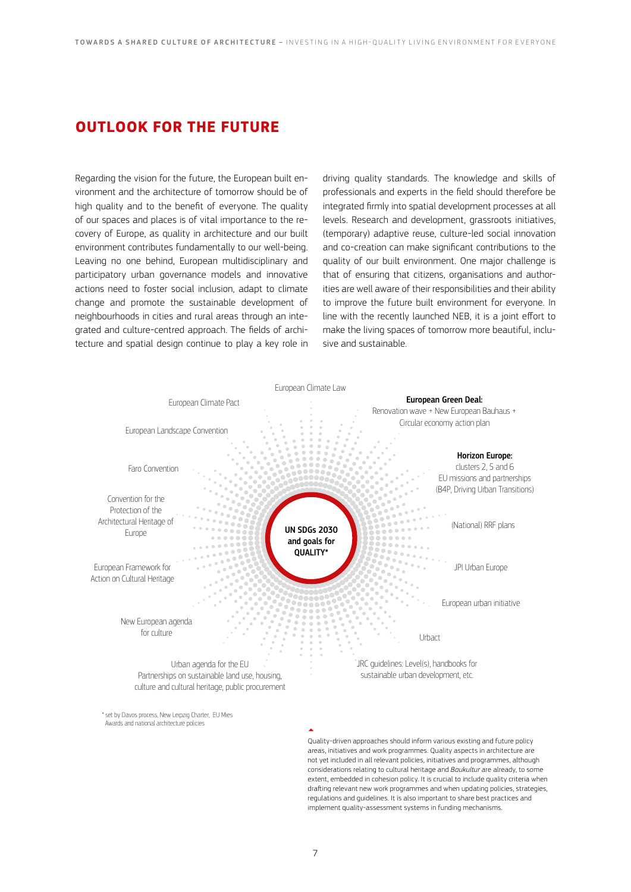# **OUTLOOK FOR THE FUTURE**

Regarding the vision for the future, the European built environment and the architecture of tomorrow should be of high quality and to the benefit of everyone. The quality of our spaces and places is of vital importance to the recovery of Europe, as quality in architecture and our built environment contributes fundamentally to our well-being. Leaving no one behind, European multidisciplinary and participatory urban governance models and innovative actions need to foster social inclusion, adapt to climate change and promote the sustainable development of neighbourhoods in cities and rural areas through an integrated and culture-centred approach. The fields of architecture and spatial design continue to play a key role in

driving quality standards. The knowledge and skills of professionals and experts in the field should therefore be integrated firmly into spatial development processes at all levels. Research and development, grassroots initiatives, (temporary) adaptive reuse, culture-led social innovation and co-creation can make significant contributions to the quality of our built environment. One major challenge is that of ensuring that citizens, organisations and authorities are well aware of their responsibilities and their ability to improve the future built environment for everyone. In line with the recently launched NEB, it is a joint effort to make the living spaces of tomorrow more beautiful, inclusive and sustainable.



Quality-driven approaches should inform various existing and future policy areas, initiatives and work programmes. Quality aspects in architecture are not yet included in all relevant policies, initiatives and programmes, although considerations relating to cultural heritage and *Baukultur* are already, to some extent, embedded in cohesion policy. It is crucial to include quality criteria when drafting relevant new work programmes and when updating policies, strategies, regulations and guidelines. It is also important to share best practices and implement quality-assessment systems in funding mechanisms.